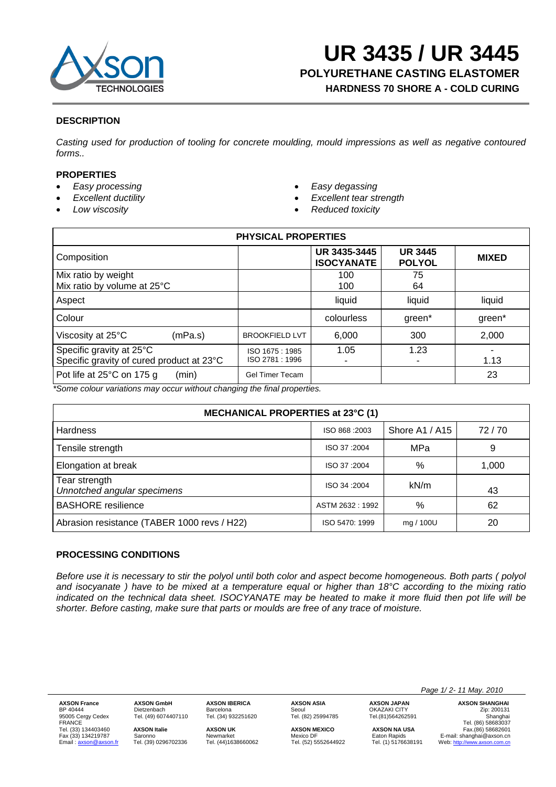

**HARDNESS 70 SHORE A - COLD CURING**

## **DESCRIPTION**

*Casting used for production of tooling for concrete moulding, mould impressions as well as negative contoured forms..* 

# **PROPERTIES**

- *Easy processing*
- *Excellent ductility*
- *Low viscosity*
- *Easy degassing*
- *Excellent tear strength*
- *Reduced toxicity*

| <b>PHYSICAL PROPERTIES</b>                                            |                                  |                                   |                                 |              |  |  |
|-----------------------------------------------------------------------|----------------------------------|-----------------------------------|---------------------------------|--------------|--|--|
| Composition                                                           |                                  | UR 3435-3445<br><b>ISOCYANATE</b> | <b>UR 3445</b><br><b>POLYOL</b> | <b>MIXED</b> |  |  |
| Mix ratio by weight<br>Mix ratio by volume at 25°C                    |                                  | 100<br>100                        | 75<br>64                        |              |  |  |
| Aspect                                                                |                                  | liquid                            | liquid                          | liquid       |  |  |
| Colour                                                                |                                  | colourless                        | green*                          | green*       |  |  |
| Viscosity at 25°C<br>(mPa.s)                                          | <b>BROOKFIELD LVT</b>            | 6,000                             | 300                             | 2,000        |  |  |
| Specific gravity at 25°C<br>Specific gravity of cured product at 23°C | ISO 1675: 1985<br>ISO 2781: 1996 | 1.05                              | 1.23                            | 1.13         |  |  |
| Pot life at 25°C on 175 g<br>(min)                                    | <b>Gel Timer Tecam</b>           |                                   |                                 | 23           |  |  |

*\*Some colour variations may occur without changing the final properties.* 

| MECHANICAL PROPERTIES at 23°C (1)            |                                |           |       |  |  |
|----------------------------------------------|--------------------------------|-----------|-------|--|--|
| <b>Hardness</b>                              | Shore A1 / A15<br>ISO 868:2003 |           | 72/70 |  |  |
| Tensile strength                             | ISO 37:2004                    | MPa       | 9     |  |  |
| Elongation at break                          | ISO 37:2004                    | %         | 1,000 |  |  |
| Tear strength<br>Unnotched angular specimens | ISO 34:2004                    | kN/m      | 43    |  |  |
| <b>BASHORE</b> resilience                    | ASTM 2632: 1992                | $\%$      | 62    |  |  |
| Abrasion resistance (TABER 1000 revs / H22)  | ISO 5470: 1999                 | mg / 100U | 20    |  |  |

## **PROCESSING CONDITIONS**

*Before use it is necessary to stir the polyol until both color and aspect become homogeneous. Both parts (polyol and isocyanate ) have to be mixed at a temperature equal or higher than 18°C according to the mixing ratio indicated on the technical data sheet. ISOCYANATE may be heated to make it more fluid then pot life will be shorter. Before casting, make sure that parts or moulds are free of any trace of moisture.* 

95005 Cergy Cedex Tel. (49) 6074407110 Tel. (34) 932251620 Tel. (82) 25994785 Tel.(81)564262591 Shanghai

**AXSON France AXSON GmbH AXSON IBERICA AXSON ASIA AXSON JAPAN AXSON SHANGHAI**<br>
BP 40444 Dietzenbach Barcelona Seoul OKAZAKI CITY *Zip:* 200131<br>
95005 Cergy Cedex Tel. (49) 6074407110 Tel. (34) 932251620 Tel. (82) 25994 BP 40444 Dietzenbach Barcelona Seoul OKAZAKI CITY Zip: 200131 FRANCE Tel. (86) 58683037 Tel. (33) 134403460 **AXSON Italie <b>AXSON DEXICO AXSON MEXICO AXSON MEXICO AXSON MEXICO AXSON MEXICO AXSON MEXICO AXSON MEXICO Externall controller of the Mexico DF**<br>
Fax. (33) 134219787 Saronno **Mewmarket** Me Saronno **E-mail: shanghai@axson.cn**<br>Tel. (39) 0296702336 Tel. (44)1638660062 Tel. (52) 5552644922 Tel. (1) 5176638191 Web: http://www.axson.com.cn Web: http://www.axson.com.cn

 *Page 1/ 2- 11 May. 2010*